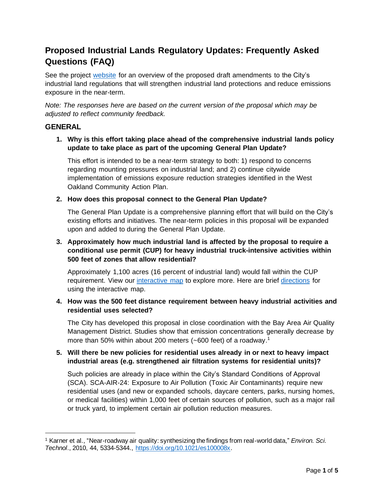# **Proposed Industrial Lands Regulatory Updates: Frequently Asked Questions (FAQ)**

See the project [website](https://www.oaklandca.gov/topics/industrial-lands-policy-revisions) for an overview of the proposed draft amendments to the City's industrial land regulations that will strengthen industrial land protections and reduce emissions exposure in the near-term.

*Note: The responses here are based on the current version of the proposal which may be adjusted to reflect community feedback.* 

# **GENERAL**

**1. Why is this effort taking place ahead of the comprehensive industrial lands policy update to take place as part of the upcoming General Plan Update?**

This effort is intended to be a near-term strategy to both: 1) respond to concerns regarding mounting pressures on industrial land; and 2) continue citywide implementation of emissions exposure reduction strategies identified in the West Oakland Community Action Plan.

## **2. How does this proposal connect to the General Plan Update?**

The General Plan Update is a comprehensive planning effort that will build on the City's existing efforts and initiatives. The near-term policies in this proposal will be expanded upon and added to during the General Plan Update.

# **3. Approximately how much industrial land is affected by the proposal to require a conditional use permit (CUP) for heavy industrial truck-intensive activities within 500 feet of zones that allow residential?**

Approximately 1,100 acres (16 percent of industrial land) would fall within the CUP requirement. View our [interactive map](https://oakgis.maps.arcgis.com/home/webmap/viewer.html?webmap=26fe079d1bd24a9fb0aabb90db5fe07b) to explore more. Here are brief [directions](https://cao-94612.s3.amazonaws.com/documents/Interactive-Map-User-Guide.pdf) for using the interactive map.

#### **4. How was the 500 feet distance requirement between heavy industrial activities and residential uses selected?**

The City has developed this proposal in close coordination with the Bay Area Air Quality Management District. Studies show that emission concentrations generally decrease by more than 50% within about 200 meters (~600 feet) of a roadway.<sup>1</sup>

## **5. Will there be new policies for residential uses already in or next to heavy impact industrial areas (e.g. strengthened air filtration systems for residential units)?**

Such policies are already in place within the City's Standard Conditions of Approval (SCA). SCA-AIR-24: Exposure to Air Pollution (Toxic Air Contaminants) require new residential uses (and new or expanded schools, daycare centers, parks, nursing homes, or medical facilities) within 1,000 feet of certain sources of pollution, such as a major rail or truck yard, to implement certain air pollution reduction measures.

<sup>1</sup> Karner et al., "Near-roadway air quality: synthesizing the findings from real-world data," *Environ. Sci. Technol*., 2010, 44, 5334-5344., [https://doi.org/10.1021/es100008x.](https://doi.org/10.1021/es100008x)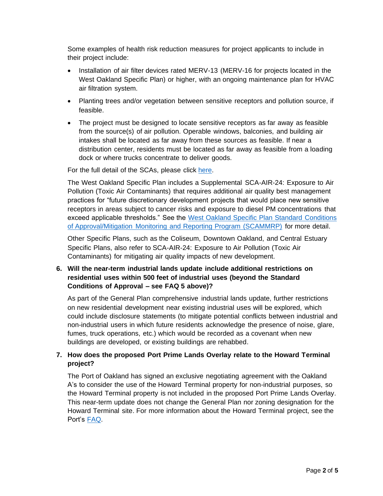Some examples of health risk reduction measures for project applicants to include in their project include:

- Installation of air filter devices rated MERV-13 (MERV-16 for projects located in the West Oakland Specific Plan) or higher, with an ongoing maintenance plan for HVAC air filtration system.
- Planting trees and/or vegetation between sensitive receptors and pollution source, if feasible.
- The project must be designed to locate sensitive receptors as far away as feasible from the source(s) of air pollution. Operable windows, balconies, and building air intakes shall be located as far away from these sources as feasible. If near a distribution center, residents must be located as far away as feasible from a loading dock or where trucks concentrate to deliver goods.

For the full detail of the SCAs, please click [here.](https://cao-94612.s3.amazonaws.com/documents/Standard-Conditions-of-Approval-December-2020.pdf)

The West Oakland Specific Plan includes a Supplemental SCA-AIR-24: Exposure to Air Pollution (Toxic Air Contaminants) that requires additional air quality best management practices for "future discretionary development projects that would place new sensitive receptors in areas subject to cancer risks and exposure to diesel PM concentrations that exceed applicable thresholds." See the [West Oakland Specific Plan Standard Conditions](https://oaklandca.s3.us-west-1.amazonaws.com/oakca1/groups/ceda/documents/report/oak049138.pdf)  [of Approval/Mitigation Monitoring and Reporting Program \(SCAMMRP\)](https://oaklandca.s3.us-west-1.amazonaws.com/oakca1/groups/ceda/documents/report/oak049138.pdf) for more detail.

Other Specific Plans, such as the Coliseum, Downtown Oakland, and Central Estuary Specific Plans, also refer to SCA-AIR-24: Exposure to Air Pollution (Toxic Air Contaminants) for mitigating air quality impacts of new development.

# **6. Will the near-term industrial lands update include additional restrictions on residential uses within 500 feet of industrial uses (beyond the Standard Conditions of Approval – see FAQ 5 above)?**

As part of the General Plan comprehensive industrial lands update, further restrictions on new residential development near existing industrial uses will be explored, which could include disclosure statements (to mitigate potential conflicts between industrial and non-industrial users in which future residents acknowledge the presence of noise, glare, fumes, truck operations, etc.) which would be recorded as a covenant when new buildings are developed, or existing buildings are rehabbed.

# **7. How does the proposed Port Prime Lands Overlay relate to the Howard Terminal project?**

The Port of Oakland has signed an exclusive negotiating agreement with the Oakland A's to consider the use of the Howard Terminal property for non-industrial purposes, so the Howard Terminal property is not included in the proposed Port Prime Lands Overlay. This near-term update does not change the General Plan nor zoning designation for the Howard Terminal site. For more information about the Howard Terminal project, see the Port's [FAQ.](https://www.portofoakland.com/howard-terminal/faqs/)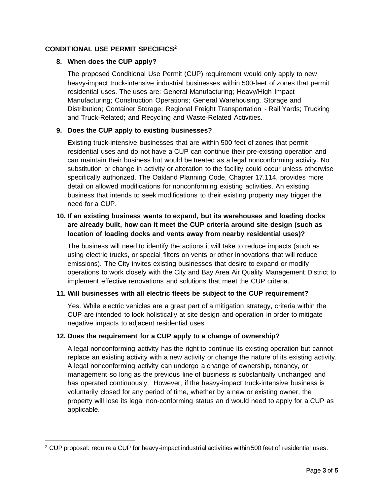## **CONDITIONAL USE PERMIT SPECIFICS**<sup>2</sup>

#### **8. When does the CUP apply?**

The proposed Conditional Use Permit (CUP) requirement would only apply to new heavy-impact truck-intensive industrial businesses within 500-feet of zones that permit residential uses. The uses are: General Manufacturing; Heavy/High Impact Manufacturing; Construction Operations; General Warehousing, Storage and Distribution; Container Storage; Regional Freight Transportation - Rail Yards; Trucking and Truck-Related; and Recycling and Waste-Related Activities.

#### **9. Does the CUP apply to existing businesses?**

Existing truck-intensive businesses that are within 500 feet of zones that permit residential uses and do not have a CUP can continue their pre-existing operation and can maintain their business but would be treated as a legal nonconforming activity. No substitution or change in activity or alteration to the facility could occur unless otherwise specifically authorized. The Oakland Planning Code, Chapter 17.114, provides more detail on allowed modifications for nonconforming existing activities. An existing business that intends to seek modifications to their existing property may trigger the need for a CUP.

# **10. If an existing business wants to expand, but its warehouses and loading docks are already built, how can it meet the CUP criteria around site design (such as location of loading docks and vents away from nearby residential uses)?**

The business will need to identify the actions it will take to reduce impacts (such as using electric trucks, or special filters on vents or other innovations that will reduce emissions). The City invites existing businesses that desire to expand or modify operations to work closely with the City and Bay Area Air Quality Management District to implement effective renovations and solutions that meet the CUP criteria.

#### **11. Will businesses with all electric fleets be subject to the CUP requirement?**

Yes. While electric vehicles are a great part of a mitigation strategy, criteria within the CUP are intended to look holistically at site design and operation in order to mitigate negative impacts to adjacent residential uses.

#### **12. Does the requirement for a CUP apply to a change of ownership?**

A legal nonconforming activity has the right to continue its existing operation but cannot replace an existing activity with a new activity or change the nature of its existing activity. A legal nonconforming activity can undergo a change of ownership, tenancy, or management so long as the previous line of business is substantially unchanged and has operated continuously. However, if the heavy-impact truck-intensive business is voluntarily closed for any period of time, whether by a new or existing owner, the property will lose its legal non-conforming status an d would need to apply for a CUP as applicable.

<sup>2</sup> CUP proposal: require a CUP for heavy-impact industrial activities within 500 feet of residential uses.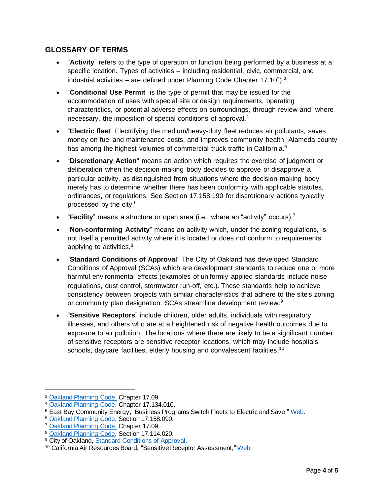# **GLOSSARY OF TERMS**

- "**Activity**" refers to the type of operation or function being performed by a business at a specific location. Types of activities – including residential, civic, commercial, and industrial activities  $-$  are defined under Planning Code Chapter 17.10").<sup>3</sup>
- "**Conditional Use Permit**" is the type of permit that may be issued for the accommodation of uses with special site or design requirements, operating characteristics, or potential adverse effects on surroundings, through review and, where necessary, the imposition of special conditions of approval.<sup>4</sup>
- "**Electric fleet**" Electrifying the medium/heavy-duty fleet reduces air pollutants, saves money on fuel and maintenance costs, and improves community health. Alameda county has among the highest volumes of commercial truck traffic in California.<sup>5</sup>
- "**Discretionary Action**" means an action which requires the exercise of judgment or deliberation when the decision-making body decides to approve or disapprove a particular activity, as distinguished from situations where the decision-making body merely has to determine whether there has been conformity with applicable statutes, ordinances, or regulations. See Section 17.158.190 for discretionary actions typically processed by the city.<sup>6</sup>
- "**Facility**" means a structure or open area (i.e., where an "activity" occurs).<sup>7</sup>
- "**Non-conforming Activity**" means an activity which, under the zoning regulations, is not itself a permitted activity where it is located or does not conform to requirements applying to activities.<sup>8</sup>
- "**Standard Conditions of Approval**" The City of Oakland has developed Standard Conditions of Approval (SCAs) which are development standards to reduce one or more harmful environmental effects (examples of uniformly applied standards include noise regulations, dust control, stormwater run-off, etc.). These standards help to achieve consistency between projects with similar characteristics that adhere to the site's zoning or community plan designation. SCAs streamline development review.<sup>9</sup>
- "**Sensitive Receptors**" include children, older adults, individuals with respiratory illnesses, and others who are at a heightened risk of negative health outcomes due to exposure to air pollution. The locations where there are likely to be a significant number of sensitive receptors are sensitive receptor locations, which may include hospitals, schools, daycare facilities, elderly housing and convalescent facilities.<sup>10</sup>

<sup>3</sup> [Oakland Planning Code,](https://cao-94612.s3.amazonaws.com/documents/Planning-Code-after-7-28-20-RV-Parking_Living-Amendments.pdf) Chapter 17.09.

<sup>4</sup> [Oakland Planning Code,](https://cao-94612.s3.amazonaws.com/documents/Planning-Code-after-7-28-20-RV-Parking_Living-Amendments.pdf) Chapter 17.134.010.

<sup>5</sup> East Bay Community Energy, "Business Programs Switch Fleets to Electric and Save," [Web.](https://ebce.org/drive-electric-business/)

<sup>6</sup> [Oakland Planning Code,](https://cao-94612.s3.amazonaws.com/documents/Planning-Code-after-7-28-20-RV-Parking_Living-Amendments.pdf) Section 17.158.090.

<sup>7</sup> [Oakland Planning Code,](https://cao-94612.s3.amazonaws.com/documents/Planning-Code-after-7-28-20-RV-Parking_Living-Amendments.pdf) Chapter 17.09.

<sup>8</sup> [Oakland Planning Code,](https://cao-94612.s3.amazonaws.com/documents/Planning-Code-after-7-28-20-RV-Parking_Living-Amendments.pdf) Section 17.114.020.

<sup>&</sup>lt;sup>9</sup> City of Oakland, [Standard Conditions of Approval.](https://cao-94612.s3.amazonaws.com/documents/Standard-Conditions-of-Approval-December-2020.pdf)

<sup>10</sup> California Air Resources Board, "Sensitive Receptor Assessment," [Web.](https://ww2.arb.ca.gov/capp-resource-center/community-assessment/sensitive-receptor-assessment)